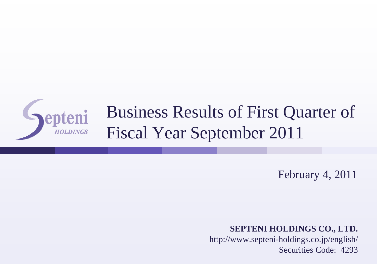

## Business Results of First Quarter of Fiscal Year September 2011

February 4, 2011

**SEPTENI HOLDINGS CO., LTD.**

http://www.septeni-holdings.co.jp/english/ Securities Code: 4293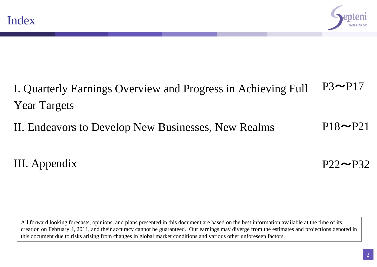

#### I. Quarterly Earnings Overview and Progress in Achieving Full Year Targets  $P3~\rightarrow$  $P17$

II. Endeavors to Develop New Businesses, New Realms  $P18 \rightarrow P21$ 

### III. Appendix

 $P22 \rightarrow P32$ 

All forward looking forecasts, opinions, and plans presented in this document are based on the best information available at the time of its creation on February 4, 2011, and their accuracy cannot be guaranteed. Our earnings may diverge from the estimates and projections denoted in this document due to risks arising from changes in global market conditions and various other unforeseen factors.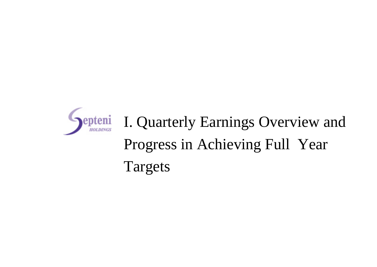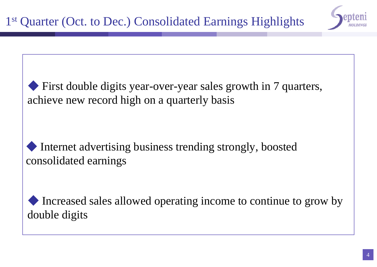

First double digits year-over-year sales growth in 7 quarters, achieve new record high on a quarterly basis

Internet advertising business trending strongly, boosted consolidated earnings

Increased sales allowed operating income to continue to grow by double digits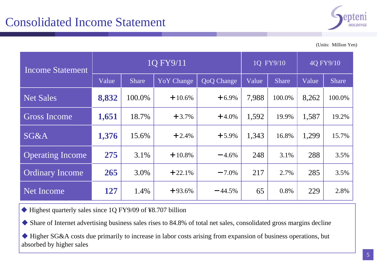

(Units: Million Yen)

| <b>Income Statement</b> | 1Q FY9/11 |              |                   |            |       | 1Q FY9/10    |       | 4Q FY9/10    |  |
|-------------------------|-----------|--------------|-------------------|------------|-------|--------------|-------|--------------|--|
|                         | Value     | <b>Share</b> | <b>YoY</b> Change | QoQ Change | Value | <b>Share</b> | Value | <b>Share</b> |  |
| <b>Net Sales</b>        | 8,832     | 100.0%       | $+10.6%$          | $+6.9%$    | 7,988 | 100.0%       | 8,262 | 100.0%       |  |
| <b>Gross Income</b>     | 1,651     | 18.7%        | $+3.7%$           | $+4.0\%$   | 1,592 | 19.9%        | 1,587 | 19.2%        |  |
| <b>SG&amp;A</b>         | 1,376     | 15.6%        | $+2.4%$           | $+5.9%$    | 1,343 | 16.8%        | 1,299 | 15.7%        |  |
| <b>Operating Income</b> | 275       | 3.1%         | $+10.8%$          | $-4.6%$    | 248   | 3.1%         | 288   | 3.5%         |  |
| <b>Ordinary Income</b>  | 265       | 3.0%         | $+22.1%$          | $-7.0\%$   | 217   | 2.7%         | 285   | 3.5%         |  |
| Net Income              | 127       | 1.4%         | $+93.6%$          | $-44.5%$   | 65    | 0.8%         | 229   | 2.8%         |  |

◆ Highest quarterly sales since 1Q FY9/09 of ¥8.707 billion

◆ Share of Internet advertising business sales rises to 84.8% of total net sales, consolidated gross margins decline

◆ Higher SG&A costs due primarily to increase in labor costs arising from expansion of business operations, but absorbed by higher sales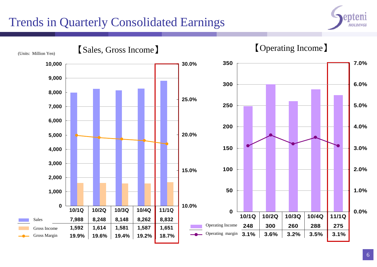### Trends in Quarterly Consolidated Earnings



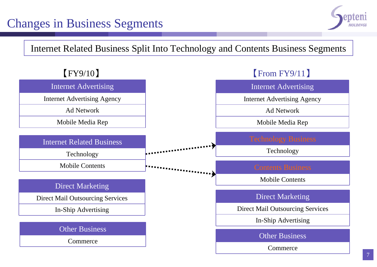### Changes in Business Segments



#### Internet Related Business Split Into Technology and Contents Business Segments

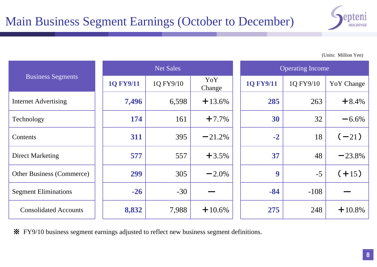

(Units: Million Yen)

|                                  |                  | <b>Net Sales</b> |               | <b>Operating Income</b> |           |                   |  |
|----------------------------------|------------------|------------------|---------------|-------------------------|-----------|-------------------|--|
| <b>Business Segments</b>         | <b>1Q FY9/11</b> | 1Q FY9/10        | YoY<br>Change | <b>1Q FY9/11</b>        | 1Q FY9/10 | <b>YoY</b> Change |  |
| <b>Internet Advertising</b>      | 7,496            | 6,598            | $+13.6%$      | 285                     | 263       | $+8.4%$           |  |
| Technology                       | 174              | 161              | $+7.7%$       | 30                      | 32        | $-6.6%$           |  |
| Contents                         | 311              | 395              | $-21.2%$      | $-2$                    | 18        | $(-21)$           |  |
| <b>Direct Marketing</b>          | 577              | 557              | $+3.5%$       | 37                      | 48        | $-23.8%$          |  |
| <b>Other Business (Commerce)</b> | 299              | 305              | $-2.0\%$      | 9                       | $-5$      | $(+15)$           |  |
| <b>Segment Eliminations</b>      | $-26$            | $-30$            |               | $-84$                   | $-108$    |                   |  |
| <b>Consolidated Accounts</b>     | 8,832            | 7,988            | $+10.6\%$     | 275                     | 248       | $+10.8\%$         |  |

※ FY9/10 business segment earnings adjusted to reflect new business segment definitions.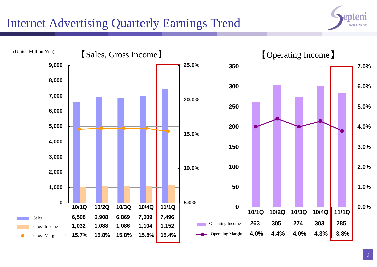### Internet Advertising Quarterly Earnings Trend



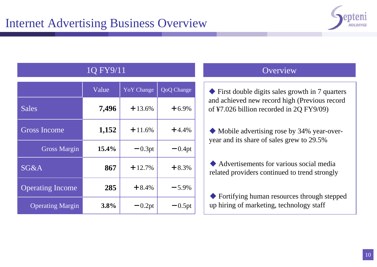

#### 1Q FY9/11 Overview

|                         | Value | <b>YoY</b> Change | QoQ Change |
|-------------------------|-------|-------------------|------------|
| <b>Sales</b>            | 7,496 | $+13.6%$          | $+6.9%$    |
| <b>Gross Income</b>     | 1,152 | $+11.6%$          | $+4.4%$    |
| <b>Gross Margin</b>     | 15.4% | $-0.3pt$          | $-0.4pt$   |
| SG&A                    | 867   | $+12.7%$          | $+8.3%$    |
| <b>Operating Income</b> | 285   | $+8.4%$           | $-5.9%$    |
| <b>Operating Margin</b> | 3.8%  | $-0.2pt$          | $-0.5pt$   |

◆ First double digits sales growth in 7 quarters and achieved new record high (Previous record of ¥7.026 billion recorded in 2Q FY9/09)

◆ Mobile advertising rose by 34% year-overyear and its share of sales grew to 29.5%

◆ Advertisements for various social media related providers continued to trend strongly

◆ Fortifying human resources through stepped up hiring of marketing, technology staff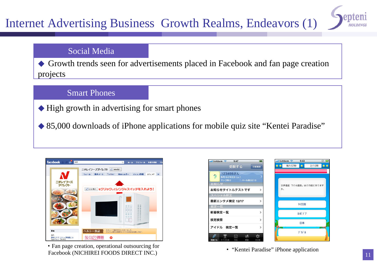### Internet Advertising Business Growth Realms, Endeavors (1)

# **HOLDING**

#### Social Media

◆ Growth trends seen for advertisements placed in Facebook and fan page creation projects

#### Smart Phones

◆ High growth in advertising for smart phones

◆ 85,000 downloads of iPhone applications for mobile quiz site "Kentei Paradise"



・Fan page creation, operational outsourcing for • Fair page creation, operational outsourcing for<br>Facebook (NICHIREI FOODS DIRECT INC.)

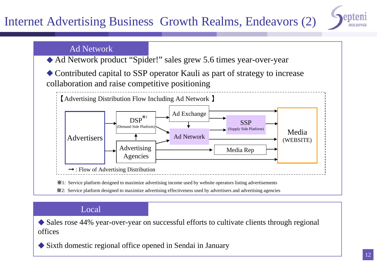### Internet Advertising Business Growth Realms, Endeavors (2)



#### Ad Network

- ◆ Ad Network product "Spider!" sales grew 5.6 times year-over-year
- ◆ Contributed capital to SSP operator Kauli as part of strategy to increase collaboration and raise competitive positioning



※2: Service platform designed to maximize advertising effectiveness used by advertisers and advertising agencies

#### Local

◆ Sales rose 44% year-over-year on successful efforts to cultivate clients through regional offices

◆ Sixth domestic regional office opened in Sendai in January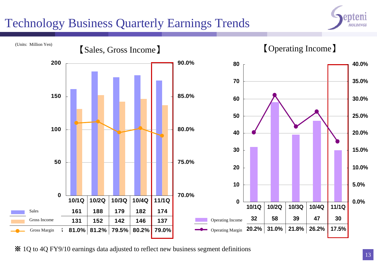### Technology Business Quarterly Earnings Trends





※ 1Q to 4Q FY9/10 earnings data adjusted to reflect new business segment definitions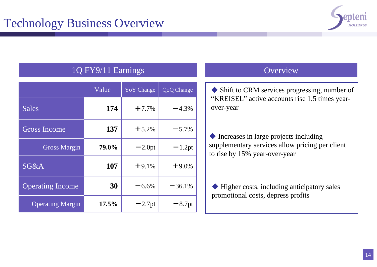

#### 1Q FY9/11 Earnings

|                         | Value | <b>YoY</b> Change | QoQ Change |
|-------------------------|-------|-------------------|------------|
| <b>Sales</b>            | 174   | $+7.7%$           | $-4.3%$    |
| <b>Gross Income</b>     | 137   | $+5.2%$           | $-5.7%$    |
| <b>Gross Margin</b>     | 79.0% | $-2.0pt$          | $-1.2pt$   |
| SG&A                    | 107   | $+9.1%$           | $+9.0%$    |
| <b>Operating Income</b> | 30    | $-6.6%$           | $-36.1%$   |
| <b>Operating Margin</b> | 17.5% | $-2.7$ pt         | $-8.7$ pt  |

#### Overview

◆ Shift to CRM services progressing, number of "KREISEL" active accounts rise 1.5 times yearover-year

◆ Increases in large projects including supplementary services allow pricing per client to rise by 15% year-over-year

◆ Higher costs, including anticipatory sales promotional costs, depress profits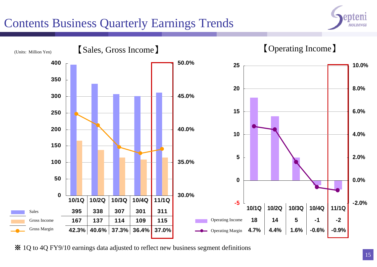### Contents Business Quarterly Earnings Trends





※ 1Q to 4Q FY9/10 earnings data adjusted to reflect new business segment definitions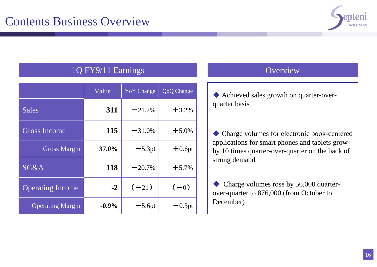

#### 1Q FY9/11 Earnings

|                         | Value   | <b>YoY</b> Change | QoQ Change |
|-------------------------|---------|-------------------|------------|
| <b>Sales</b>            | 311     | $-21.2%$          | $+3.2%$    |
| <b>Gross Income</b>     | 115     | $-31.0%$          | $+5.0%$    |
| <b>Gross Margin</b>     | 37.0%   | $-5.3pt$          | $+0.6pt$   |
| SG&A                    | 118     | $-20.7\%$         | $+5.7%$    |
| <b>Operating Income</b> | $-2$    | $(-21)$           | $(-0)$     |
| <b>Operating Margin</b> | $-0.9%$ | $-5.6pt$          | $-0.3pt$   |

#### Overview

◆ Achieved sales growth on quarter-overquarter basis

◆ Charge volumes for electronic book-centered applications for smart phones and tablets grow by 10 times quarter-over-quarter on the back of strong demand

◆ Charge volumes rose by 56,000 quarterover-quarter to 876,000 (from October to December)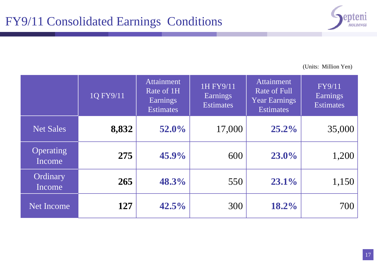

(Units: Million Yen)

|                            | 1Q FY9/11 | <b>Attainment</b><br>Rate of 1H<br><b>Earnings</b><br><b>Estimates</b> | 1H FY9/11<br><b>Earnings</b><br><b>Estimates</b> | Attainment<br>Rate of Full<br><b>Year Earnings</b><br><b>Estimates</b> | FY9/11<br><b>Earnings</b><br><b>Estimates</b> |
|----------------------------|-----------|------------------------------------------------------------------------|--------------------------------------------------|------------------------------------------------------------------------|-----------------------------------------------|
| <b>Net Sales</b>           | 8,832     | 52.0%                                                                  | 17,000                                           | 25.2%                                                                  | 35,000                                        |
| <b>Operating</b><br>Income | 275       | $45.9\%$                                                               | 600                                              | 23.0%                                                                  | 1,200                                         |
| Ordinary<br>Income         | 265       | 48.3%                                                                  | 550                                              | 23.1%                                                                  | 1,150                                         |
| <b>Net Income</b>          | 127       | 42.5%                                                                  | 300                                              | 18.2%                                                                  | 700                                           |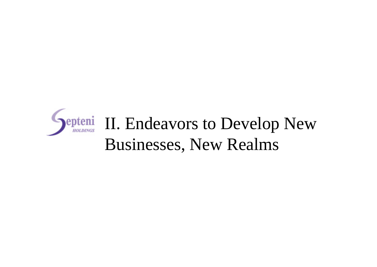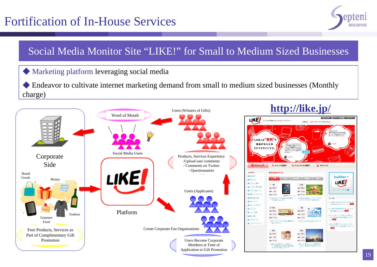### Fortification of In-House Services



#### Social Media Monitor Site "LIKE!" for Small to Medium Sized Businesses

#### ◆ Marketing platform leveraging social media

◆ Endeavor to cultivate internet marketing demand from small to medium sized businesses (Monthly charge)



#### **http://like.jp/**

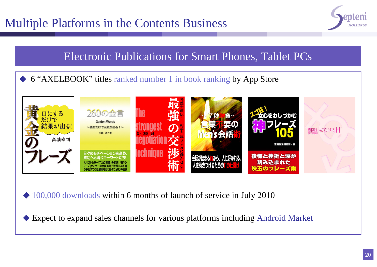## Multiple Platforms in the Contents Business



#### Electronic Publications for Smart Phones, Tablet PCs

◆ 6 "AXELBOOK" titles ranked number 1 in book ranking by App Store



◆ 100,000 downloads within 6 months of launch of service in July 2010

◆ Expect to expand sales channels for various platforms including Android Market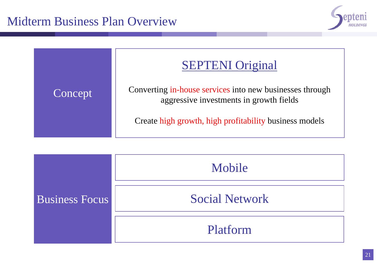



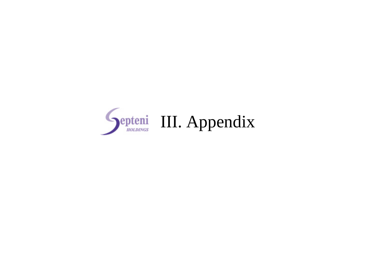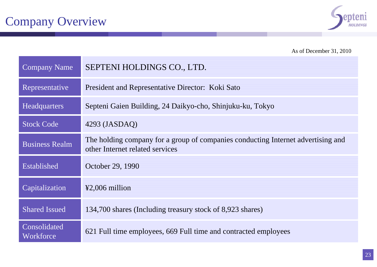

As of December 31, 2010

| <b>Company Name</b>       | SEPTENI HOLDINGS CO., LTD.                                                                                          |
|---------------------------|---------------------------------------------------------------------------------------------------------------------|
| Representative            | President and Representative Director: Koki Sato                                                                    |
| <b>Headquarters</b>       | Septeni Gaien Building, 24 Daikyo-cho, Shinjuku-ku, Tokyo                                                           |
| <b>Stock Code</b>         | $4293$ (JASDAQ)                                                                                                     |
| <b>Business Realm</b>     | The holding company for a group of companies conducting Internet advertising and<br>other Internet related services |
| Established               | October 29, 1990                                                                                                    |
| Capitalization            | $\textcolor{blue}{\text{42,006}}$ million                                                                           |
| <b>Shared Issued</b>      | 134,700 shares (Including treasury stock of 8,923 shares)                                                           |
| Consolidated<br>Workforce | 621 Full time employees, 669 Full time and contracted employees                                                     |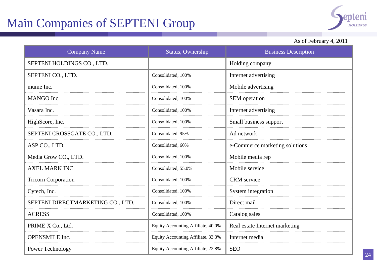## Main Companies of SEPTENI Group



#### As of February 4, 2011

| <b>Company Name</b>               | Status, Ownership                  | <b>Business Description</b>    |
|-----------------------------------|------------------------------------|--------------------------------|
| SEPTENI HOLDINGS CO., LTD.        |                                    | Holding company                |
| SEPTENI CO., LTD.                 | Consolidated, 100%                 | Internet advertising           |
| mume Inc.                         | Consolidated, 100%                 | Mobile advertising             |
| MANGO Inc.                        | Consolidated, 100%                 | SEM operation                  |
| Vasara Inc.                       | Consolidated, 100%                 | Internet advertising           |
| HighScore, Inc.                   | Consolidated, 100%                 | Small business support         |
| SEPTENI CROSSGATE CO., LTD        | Consolidated, 95%                  | Ad network                     |
| ASP CO., LTD.                     | Consolidated, 60%                  | e-Commerce marketing solutions |
| Media Grow CO., LTD.              | Consolidated, 100%                 | Mobile media rep               |
| <b>AXEL MARK INC.</b>             | Consolidated, 55.0%                | Mobile service                 |
| <b>Tricorn Corporation</b>        | Consolidated, 100%                 | <b>CRM</b> service             |
| Cytech, Inc.                      | Consolidated, 100%                 | System integration             |
| SEPTENI DIRECTMARKETING CO., LTD. | Consolidated, 100%                 | Direct mail                    |
| <b>ACRESS</b>                     | Consolidated, 100%                 | Catalog sales                  |
| PRIME X Co., Ltd.                 | Equity Accounting Affiliate, 40.0% | Real estate Internet marketing |
| <b>OPENSMILE</b> Inc.             | Equity Accounting Affiliate, 33.3% | Internet media                 |
| Power Technology                  | Equity Accounting Affiliate, 22.8% | <b>SEO</b>                     |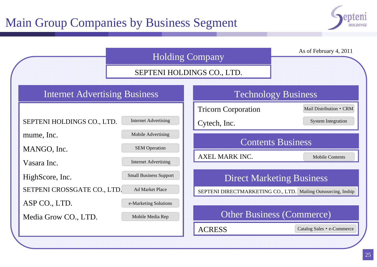### Main Group Companies by Business Segment



|                                      |                               | <b>Holding Company</b>     | As of February 4, 2011                                        |
|--------------------------------------|-------------------------------|----------------------------|---------------------------------------------------------------|
|                                      |                               | SEPTENI HOLDINGS CO., LTD. |                                                               |
| <b>Internet Advertising Business</b> |                               |                            | <b>Technology Business</b>                                    |
|                                      |                               | <b>Tricorn Corporation</b> | Mail Distribution • CRM                                       |
| SEPTENI HOLDINGS CO., LTD.           | <b>Internet Advertising</b>   | Cytech, Inc.               | <b>System Integration</b>                                     |
| mume, Inc.                           | Mobile Advertising            |                            |                                                               |
| MANGO, Inc.                          | <b>SEM Operation</b>          |                            | <b>Contents Business</b>                                      |
| Vasara Inc.                          | <b>Internet Advertising</b>   | AXEL MARK INC.             | <b>Mobile Contents</b>                                        |
| HighScore, Inc.                      | <b>Small Business Support</b> |                            | <b>Direct Marketing Business</b>                              |
| SETPENI CROSSGATE CO., LTD.          | <b>Ad Market Place</b>        |                            | SEPTENI DIRECTMARKETING CO., LTD. Mailing Outsourcing, Inship |
| ASP CO., LTD.                        | e-Marketing Solutions         |                            |                                                               |
| Media Grow CO., LTD.                 | Mobile Media Rep              |                            | <b>Other Business (Commerce)</b>                              |
|                                      |                               | <b>ACRESS</b>              | Catalog Sales • e-Commerce                                    |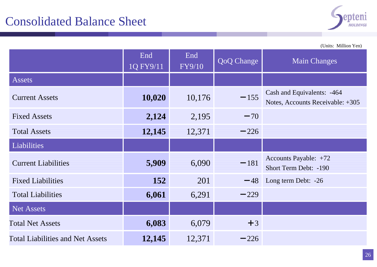

(Units: Million Yen)

|                                         | End<br>1Q FY9/11 | End<br><b>FY9/10</b> | <b>QoQ</b> Change | <b>Main Changes</b>                                            |
|-----------------------------------------|------------------|----------------------|-------------------|----------------------------------------------------------------|
| <b>Assets</b>                           |                  |                      |                   |                                                                |
| <b>Current Assets</b>                   | 10,020           | 10,176               | $-155$            | Cash and Equivalents: -464<br>Notes, Accounts Receivable: +305 |
| <b>Fixed Assets</b>                     | 2,124            | 2,195                | $-70$             |                                                                |
| <b>Total Assets</b>                     | 12,145           | 12,371               | $-226$            |                                                                |
| Liabilities                             |                  |                      |                   |                                                                |
| <b>Current Liabilities</b>              | 5,909            | 6,090                | $-181$            | Accounts Payable: +72<br>Short Term Debt: -190                 |
| <b>Fixed Liabilities</b>                | 152              | 201                  | $-48$             | Long term Debt: -26                                            |
| <b>Total Liabilities</b>                | 6,061            | 6,291                | $-229$            |                                                                |
| <b>Net Assets</b>                       |                  |                      |                   |                                                                |
| <b>Total Net Assets</b>                 | 6,083            | 6,079                | $+3$              |                                                                |
| <b>Total Liabilities and Net Assets</b> | 12,145           | 12,371               | $-226$            |                                                                |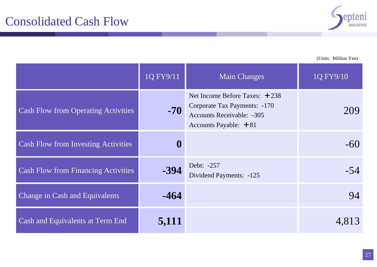

(Units: Million Yen)

|                                            | 1Q FY9/11 | <b>Main Changes</b>                                                                                                            | 1Q FY9/10 |
|--------------------------------------------|-----------|--------------------------------------------------------------------------------------------------------------------------------|-----------|
| <b>Cash Flow from Operating Activities</b> | $-70$     | Net Income Before Taxes: $+238$<br>Corporate Tax Payments: -170<br><b>Accounts Receivable: -305</b><br>Accounts Payable: $+81$ | 209       |
| <b>Cash Flow from Investing Activities</b> | $\bf{0}$  |                                                                                                                                | $-60$     |
| <b>Cash Flow from Financing Activities</b> | $-394$    | Debt: -257<br>Dividend Payments: -125                                                                                          | $-54$     |
| Change in Cash and Equivalents             | $-464$    |                                                                                                                                | 94        |
| Cash and Equivalents at Term End           | 5,111     |                                                                                                                                | 4,813     |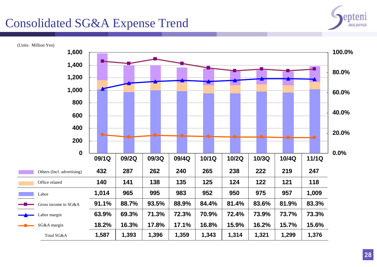### Consolidated SG&A Expense Trend



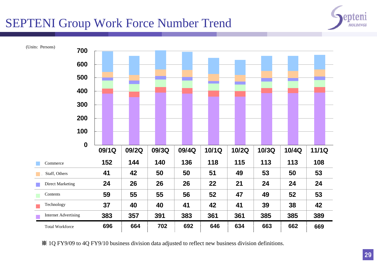#### SEPTENI Group Work Force Number Trend

Total Workforce



総 計 **696 664 702 692 646 634 663 662 669**

※ 1Q FY9/09 to 4Q FY9/10 business division data adjusted to reflect new business division definitions.

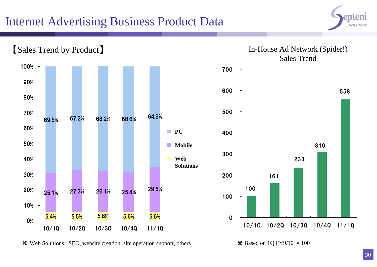### Internet Advertising Business Product Data





※ Web Solutions: SEO, website creation, site operation support, others

 $\mathbb{X}$  Based on 1Q FY9/10 = 100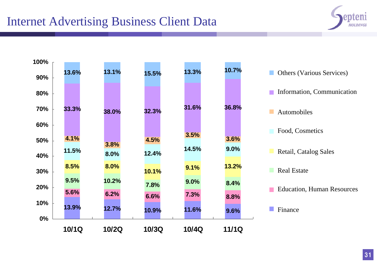### Internet Advertising Business Client Data